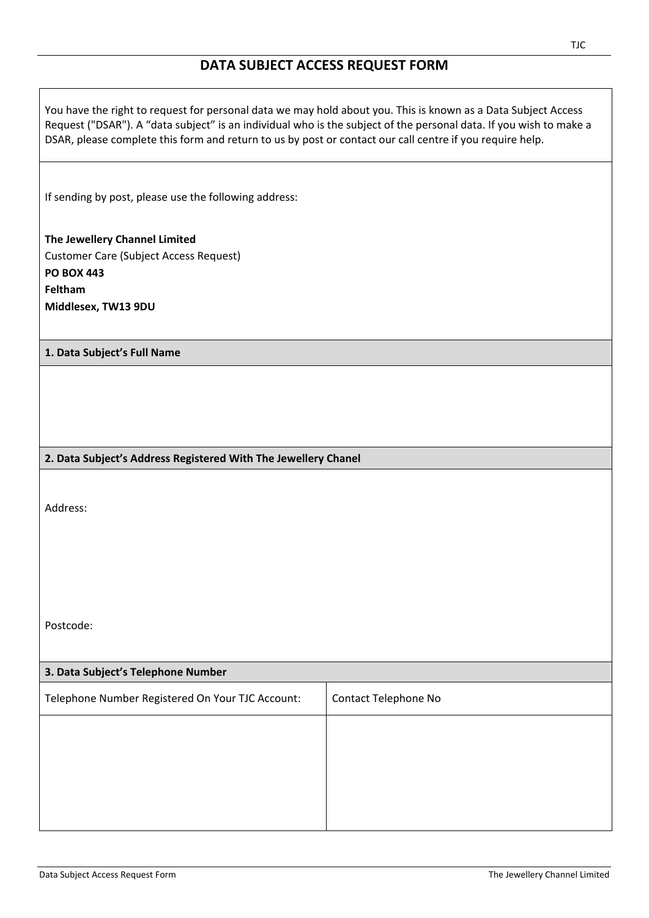## **DATA SUBJECT ACCESS REQUEST FORM**

You have the right to request for personal data we may hold about you. This is known as a Data Subject Access Request ("DSAR"). A "data subject" is an individual who is the subject of the personal data. If you wish to make a DSAR, please complete this form and return to us by post or contact our call centre if you require help.

If sending by post, please use the following address:

**The Jewellery Channel Limited** Customer Care (Subject Access Request) **PO BOX 443 Feltham Middlesex, TW13 9DU**

## **1. Data Subject's Full Name**

## **2. Data Subject's Address Registered With The Jewellery Chanel**

Address:

Postcode:

| 3. Data Subject's Telephone Number               |                      |
|--------------------------------------------------|----------------------|
| Telephone Number Registered On Your TJC Account: | Contact Telephone No |
|                                                  |                      |
|                                                  |                      |
|                                                  |                      |
|                                                  |                      |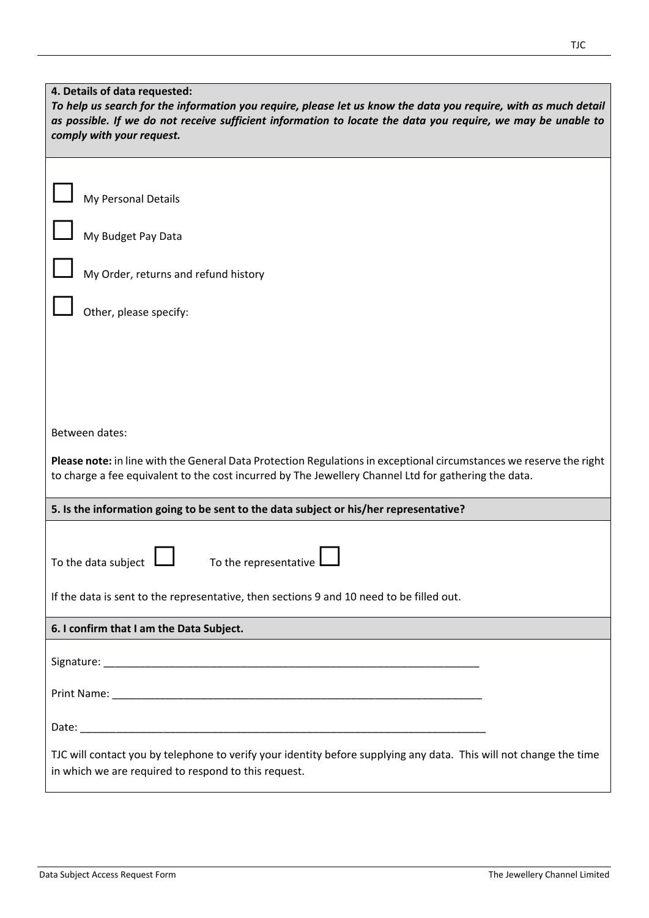| 4. Details of data requested:<br>To help us search for the information you require, please let us know the data you require, with as much detail<br>as possible. If we do not receive sufficient information to locate the data you require, we may be unable to<br>comply with your request. |  |
|-----------------------------------------------------------------------------------------------------------------------------------------------------------------------------------------------------------------------------------------------------------------------------------------------|--|
| My Personal Details<br>My Budget Pay Data                                                                                                                                                                                                                                                     |  |
| My Order, returns and refund history                                                                                                                                                                                                                                                          |  |
| Other, please specify:                                                                                                                                                                                                                                                                        |  |
|                                                                                                                                                                                                                                                                                               |  |
|                                                                                                                                                                                                                                                                                               |  |
| Between dates:<br>Please note: in line with the General Data Protection Regulations in exceptional circumstances we reserve the right<br>to charge a fee equivalent to the cost incurred by The Jewellery Channel Ltd for gathering the data.                                                 |  |
| 5. Is the information going to be sent to the data subject or his/her representative?                                                                                                                                                                                                         |  |
| To the representative<br>To the data subject                                                                                                                                                                                                                                                  |  |
| If the data is sent to the representative, then sections 9 and 10 need to be filled out.                                                                                                                                                                                                      |  |
| 6. I confirm that I am the Data Subject.                                                                                                                                                                                                                                                      |  |
|                                                                                                                                                                                                                                                                                               |  |
|                                                                                                                                                                                                                                                                                               |  |
|                                                                                                                                                                                                                                                                                               |  |
| TJC will contact you by telephone to verify your identity before supplying any data. This will not change the time<br>in which we are required to respond to this request.                                                                                                                    |  |